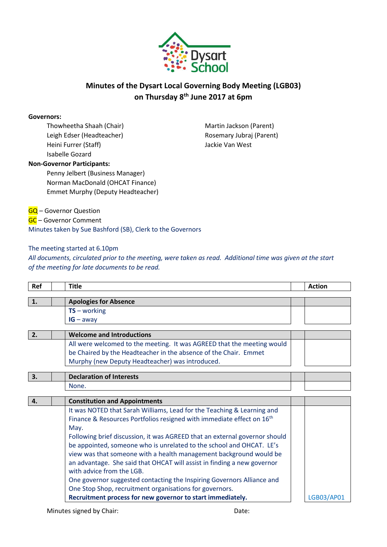

## **Minutes of the Dysart Local Governing Body Meeting (LGB03) on Thursday 8th June 2017 at 6pm**

#### **Governors:**

Thowheetha Shaah (Chair) Leigh Edser (Headteacher) Heini Furrer (Staff) Isabelle Gozard

Martin Jackson (Parent) Rosemary Jubraj (Parent) Jackie Van West

### **Non-Governor Participants:**

Penny Jelbert (Business Manager) Norman MacDonald (OHCAT Finance) Emmet Murphy (Deputy Headteacher)

**GQ** - Governor Question

GC – Governor Comment Minutes taken by Sue Bashford (SB), Clerk to the Governors

### The meeting started at 6.10pm

*All documents, circulated prior to the meeting, were taken as read. Additional time was given at the start of the meeting for late documents to be read.*

| Ref | <b>Title</b>                                                                      | <b>Action</b> |
|-----|-----------------------------------------------------------------------------------|---------------|
| 1.  | <b>Apologies for Absence</b>                                                      |               |
|     | $TS$ – working                                                                    |               |
|     | $IG - away$                                                                       |               |
|     |                                                                                   |               |
| 2.  | <b>Welcome and Introductions</b>                                                  |               |
|     | All were welcomed to the meeting. It was AGREED that the meeting would            |               |
|     | be Chaired by the Headteacher in the absence of the Chair. Emmet                  |               |
|     | Murphy (new Deputy Headteacher) was introduced.                                   |               |
|     |                                                                                   |               |
| 3.  | <b>Declaration of Interests</b>                                                   |               |
|     | None.                                                                             |               |
|     |                                                                                   |               |
| 4.  | <b>Constitution and Appointments</b>                                              |               |
|     | It was NOTED that Sarah Williams, Lead for the Teaching & Learning and            |               |
|     | Finance & Resources Portfolios resigned with immediate effect on 16 <sup>th</sup> |               |
|     | May.                                                                              |               |
|     | Following brief discussion, it was AGREED that an external governor should        |               |
|     | be appointed, someone who is unrelated to the school and OHCAT. LE's              |               |
|     | view was that someone with a health management background would be                |               |
|     | an advantage. She said that OHCAT will assist in finding a new governor           |               |
|     | with advice from the LGB.                                                         |               |
|     |                                                                                   |               |
|     | One governor suggested contacting the Inspiring Governors Alliance and            |               |
|     | One Stop Shop, recruitment organisations for governors.                           |               |
|     | Recruitment process for new governor to start immediately.                        | LGB03/AP01    |

Minutes signed by Chair: Date: Date: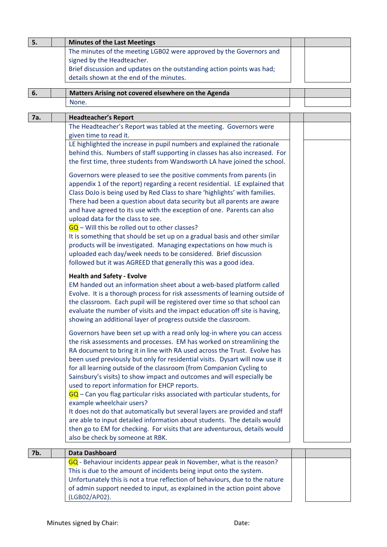| 5.  | <b>Minutes of the Last Meetings</b>                                                                            |  |
|-----|----------------------------------------------------------------------------------------------------------------|--|
|     | The minutes of the meeting LGB02 were approved by the Governors and                                            |  |
|     | signed by the Headteacher.                                                                                     |  |
|     | Brief discussion and updates on the outstanding action points was had;                                         |  |
|     | details shown at the end of the minutes.                                                                       |  |
| 6.  | Matters Arising not covered elsewhere on the Agenda                                                            |  |
|     | None.                                                                                                          |  |
|     |                                                                                                                |  |
| 7a. | <b>Headteacher's Report</b>                                                                                    |  |
|     | The Headteacher's Report was tabled at the meeting. Governors were                                             |  |
|     | given time to read it.                                                                                         |  |
|     | LE highlighted the increase in pupil numbers and explained the rationale                                       |  |
|     | behind this. Numbers of staff supporting in classes has also increased. For                                    |  |
|     | the first time, three students from Wandsworth LA have joined the school.                                      |  |
|     | Governors were pleased to see the positive comments from parents (in                                           |  |
|     | appendix 1 of the report) regarding a recent residential. LE explained that                                    |  |
|     | Class DoJo is being used by Red Class to share 'highlights' with families.                                     |  |
|     | There had been a question about data security but all parents are aware                                        |  |
|     | and have agreed to its use with the exception of one. Parents can also                                         |  |
|     | upload data for the class to see.                                                                              |  |
|     | $\overline{GQ}$ – Will this be rolled out to other classes?                                                    |  |
|     | It is something that should be set up on a gradual basis and other similar                                     |  |
|     | products will be investigated. Managing expectations on how much is                                            |  |
|     | uploaded each day/week needs to be considered. Brief discussion                                                |  |
|     | followed but it was AGREED that generally this was a good idea.                                                |  |
|     | <b>Health and Safety - Evolve</b>                                                                              |  |
|     | EM handed out an information sheet about a web-based platform called                                           |  |
|     | Evolve. It is a thorough process for risk assessments of learning outside of                                   |  |
|     | the classroom. Each pupil will be registered over time so that school can                                      |  |
|     | evaluate the number of visits and the impact education off site is having,                                     |  |
|     | showing an additional layer of progress outside the classroom.                                                 |  |
|     | Governors have been set up with a read only log-in where you can access                                        |  |
|     | the risk assessments and processes. EM has worked on streamlining the                                          |  |
|     | RA document to bring it in line with RA used across the Trust. Evolve has                                      |  |
|     | been used previously but only for residential visits. Dysart will now use it                                   |  |
|     | for all learning outside of the classroom (from Companion Cycling to                                           |  |
|     | Sainsbury's visits) to show impact and outcomes and will especially be                                         |  |
|     | used to report information for EHCP reports.                                                                   |  |
|     | $GQ$ – Can you flag particular risks associated with particular students, for                                  |  |
|     | example wheelchair users?                                                                                      |  |
|     | It does not do that automatically but several layers are provided and staff                                    |  |
|     | are able to input detailed information about students. The details would                                       |  |
|     | then go to EM for checking. For visits that are adventurous, details would<br>also be check by someone at RBK. |  |
|     |                                                                                                                |  |
| 7b. | <b>Data Dashboard</b>                                                                                          |  |
|     | GQ - Behaviour incidents appear peak in November, what is the reason?                                          |  |
|     | This is due to the amount of incidents being input onto the system.                                            |  |
|     | Unfortunately this is not a true reflection of behaviours, due to the nature                                   |  |
|     | of admin support needed to input, as explained in the action point above                                       |  |
|     | (LGB02/AP02).                                                                                                  |  |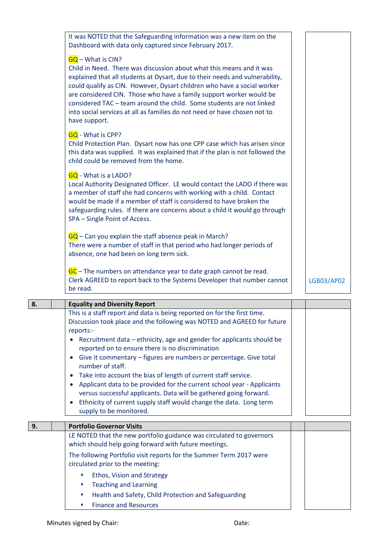| <b>Equality and Diversity Report</b>                                                                                                                                                                                                                                                                                                                                                                                                                                                                     |                   |
|----------------------------------------------------------------------------------------------------------------------------------------------------------------------------------------------------------------------------------------------------------------------------------------------------------------------------------------------------------------------------------------------------------------------------------------------------------------------------------------------------------|-------------------|
| GC – The numbers on attendance year to date graph cannot be read.<br>Clerk AGREED to report back to the Systems Developer that number cannot<br>be read.                                                                                                                                                                                                                                                                                                                                                 | <b>LGB03/AP02</b> |
| $GQ$ – Can you explain the staff absence peak in March?<br>There were a number of staff in that period who had longer periods of<br>absence, one had been on long term sick.                                                                                                                                                                                                                                                                                                                             |                   |
| <b>GQ</b> - What is a LADO?<br>Local Authority Designated Officer. LE would contact the LADO if there was<br>a member of staff she had concerns with working with a child. Contact<br>would be made if a member of staff is considered to have broken the<br>safeguarding rules. If there are concerns about a child it would go through<br>SPA - Single Point of Access.                                                                                                                                |                   |
| <b>GQ</b> - What is CPP?<br>Child Protection Plan. Dysart now has one CPP case which has arisen since<br>this data was supplied. It was explained that if the plan is not followed the<br>child could be removed from the home.                                                                                                                                                                                                                                                                          |                   |
| <b>GQ</b> - What is CIN?<br>Child in Need. There was discussion about what this means and it was<br>explained that all students at Dysart, due to their needs and vulnerability,<br>could qualify as CIN. However, Dysart children who have a social worker<br>are considered CIN. Those who have a family support worker would be<br>considered TAC - team around the child. Some students are not linked<br>into social services at all as families do not need or have chosen not to<br>have support. |                   |
| It was NOTED that the Safeguarding information was a new item on the<br>Dashboard with data only captured since February 2017.                                                                                                                                                                                                                                                                                                                                                                           |                   |

| 8. | <b>Equality and Diversity Report</b>                                                                                                                                                                                                                                                                                                                                                                                                                                                                                                                                                                                                                                                                         |  |
|----|--------------------------------------------------------------------------------------------------------------------------------------------------------------------------------------------------------------------------------------------------------------------------------------------------------------------------------------------------------------------------------------------------------------------------------------------------------------------------------------------------------------------------------------------------------------------------------------------------------------------------------------------------------------------------------------------------------------|--|
|    | This is a staff report and data is being reported on for the first time.<br>Discussion took place and the following was NOTED and AGREED for future<br>reports:-<br>• Recruitment data – ethnicity, age and gender for applicants should be<br>reported on to ensure there is no discrimination<br>Give it commentary – figures are numbers or percentage. Give total<br>number of staff.<br>Take into account the bias of length of current staff service.<br>Applicant data to be provided for the current school year - Applicants<br>versus successful applicants. Data will be gathered going forward.<br>Ethnicity of current supply staff would change the data. Long term<br>supply to be monitored. |  |
| 9. | <b>Portfolio Governor Visits</b>                                                                                                                                                                                                                                                                                                                                                                                                                                                                                                                                                                                                                                                                             |  |
|    | LE NOTED that the new portfolio guidance was circulated to governors<br>which should help going forward with future meetings.                                                                                                                                                                                                                                                                                                                                                                                                                                                                                                                                                                                |  |
|    | The following Portfolio visit reports for the Summer Term 2017 were                                                                                                                                                                                                                                                                                                                                                                                                                                                                                                                                                                                                                                          |  |

- circulated prior to the meeting:
	- Ethos, Vision and Strategy
	- Teaching and Learning
	- Health and Safety, Child Protection and Safeguarding
	- Finance and Resources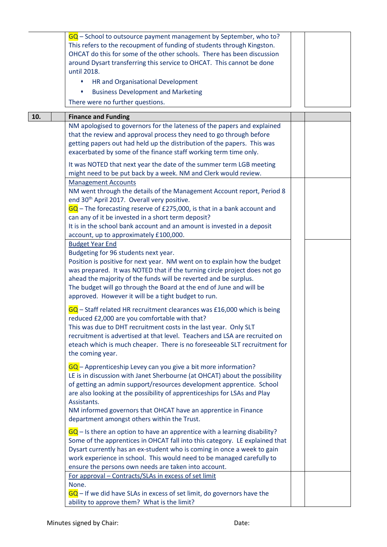|     | $GQ$ – School to outsource payment management by September, who to?<br>This refers to the recoupment of funding of students through Kingston.<br>OHCAT do this for some of the other schools. There has been discussion<br>around Dysart transferring this service to OHCAT. This cannot be done<br>until 2018.<br>HR and Organisational Development<br>٠<br><b>Business Development and Marketing</b><br>٠<br>There were no further questions. |  |
|-----|-------------------------------------------------------------------------------------------------------------------------------------------------------------------------------------------------------------------------------------------------------------------------------------------------------------------------------------------------------------------------------------------------------------------------------------------------|--|
| 10. | <b>Finance and Funding</b>                                                                                                                                                                                                                                                                                                                                                                                                                      |  |
|     | NM apologised to governors for the lateness of the papers and explained<br>that the review and approval process they need to go through before<br>getting papers out had held up the distribution of the papers. This was<br>exacerbated by some of the finance staff working term time only.<br>It was NOTED that next year the date of the summer term LGB meeting<br>might need to be put back by a week. NM and Clerk would review.         |  |
|     | <b>Management Accounts</b><br>NM went through the details of the Management Account report, Period 8<br>end 30 <sup>th</sup> April 2017. Overall very positive.<br>$GQ$ – The forecasting reserve of £275,000, is that in a bank account and<br>can any of it be invested in a short term deposit?<br>It is in the school bank account and an amount is invested in a deposit<br>account, up to approximately £100,000.                         |  |
|     | <b>Budget Year End</b><br>Budgeting for 96 students next year.<br>Position is positive for next year. NM went on to explain how the budget<br>was prepared. It was NOTED that if the turning circle project does not go<br>ahead the majority of the funds will be reverted and be surplus.<br>The budget will go through the Board at the end of June and will be<br>approved. However it will be a tight budget to run.                       |  |
|     | $GQ$ – Staff related HR recruitment clearances was £16,000 which is being<br>reduced £2,000 are you comfortable with that?<br>This was due to DHT recruitment costs in the last year. Only SLT<br>recruitment is advertised at that level. Teachers and LSA are recruited on<br>eteach which is much cheaper. There is no foreseeable SLT recruitment for<br>the coming year.                                                                   |  |
|     | GQ - Apprenticeship Levey can you give a bit more information?<br>LE is in discussion with Janet Sherbourne (at OHCAT) about the possibility<br>of getting an admin support/resources development apprentice. School<br>are also looking at the possibility of apprenticeships for LSAs and Play<br>Assistants.<br>NM informed governors that OHCAT have an apprentice in Finance<br>department amongst others within the Trust.                |  |
|     | $\overline{GQ}$ – Is there an option to have an apprentice with a learning disability?<br>Some of the apprentices in OHCAT fall into this category. LE explained that<br>Dysart currently has an ex-student who is coming in once a week to gain<br>work experience in school. This would need to be managed carefully to<br>ensure the persons own needs are taken into account.                                                               |  |
|     | For approval - Contracts/SLAs in excess of set limit<br>None.<br>$GQ$ – If we did have SLAs in excess of set limit, do governors have the<br>ability to approve them? What is the limit?                                                                                                                                                                                                                                                        |  |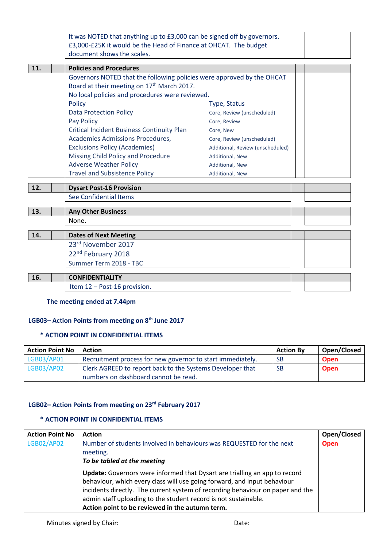| It was NOTED that anything up to £3,000 can be signed off by governors. |  |
|-------------------------------------------------------------------------|--|
| £3,000-£25K it would be the Head of Finance at OHCAT. The budget        |  |
| document shows the scales.                                              |  |

| <b>11.</b> | <b>Policies and Procedures</b>                                         |                                  |  |
|------------|------------------------------------------------------------------------|----------------------------------|--|
|            | Governors NOTED that the following policies were approved by the OHCAT |                                  |  |
|            | Board at their meeting on 17 <sup>th</sup> March 2017.                 |                                  |  |
|            | No local policies and procedures were reviewed.                        |                                  |  |
|            | Policy                                                                 | Type, Status                     |  |
|            | <b>Data Protection Policy</b>                                          | Core, Review (unscheduled)       |  |
|            | Pay Policy                                                             | Core, Review                     |  |
|            | <b>Critical Incident Business Continuity Plan</b>                      | Core, New                        |  |
|            | Academies Admissions Procedures,                                       | Core, Review (unscheduled)       |  |
|            | <b>Exclusions Policy (Academies)</b>                                   | Additional, Review (unscheduled) |  |
|            | Missing Child Policy and Procedure                                     | <b>Additional, New</b>           |  |
|            | <b>Adverse Weather Policy</b>                                          | <b>Additional, New</b>           |  |
|            | <b>Travel and Subsistence Policy</b>                                   | <b>Additional, New</b>           |  |
|            |                                                                        |                                  |  |
| 12.        | <b>Dysart Post-16 Provision</b>                                        |                                  |  |
|            | See Confidential Items                                                 |                                  |  |

| 13. | <b>Any Other Business</b>      |
|-----|--------------------------------|
|     | None.                          |
| 14. | <b>Dates of Next Meeting</b>   |
|     | 23rd November 2017             |
|     | 22 <sup>nd</sup> February 2018 |
|     | Summer Term 2018 - TBC         |
|     |                                |
| 16. | <b>CONFIDENTIALITY</b>         |
|     | Item 12 - Post-16 provision.   |

### **The meeting ended at 7.44pm**

### **LGB03– Action Points from meeting on 8th June 2017**

### **\* ACTION POINT IN CONFIDENTIAL ITEMS**

| <b>Action Point No</b> | <b>Action</b>                                              | <b>Action By</b> | Open/Closed |
|------------------------|------------------------------------------------------------|------------------|-------------|
| LGB03/AP01             | Recruitment process for new governor to start immediately. | <b>SB</b>        | <b>Open</b> |
| LGB03/AP02             | Clerk AGREED to report back to the Systems Developer that  | <b>SB</b>        | <b>Open</b> |
|                        | numbers on dashboard cannot be read.                       |                  |             |

### **LGB02– Action Points from meeting on 23rd February 2017**

### **\* ACTION POINT IN CONFIDENTIAL ITEMS**

| <b>Action Point No</b> | <b>Action</b>                                                                  | Open/Closed |
|------------------------|--------------------------------------------------------------------------------|-------------|
| LGB02/AP02             | Number of students involved in behaviours was REQUESTED for the next           | <b>Open</b> |
|                        | meeting.                                                                       |             |
|                        | To be tabled at the meeting                                                    |             |
|                        | Update: Governors were informed that Dysart are trialling an app to record     |             |
|                        | behaviour, which every class will use going forward, and input behaviour       |             |
|                        | incidents directly. The current system of recording behaviour on paper and the |             |
|                        | admin staff uploading to the student record is not sustainable.                |             |
|                        | Action point to be reviewed in the autumn term.                                |             |